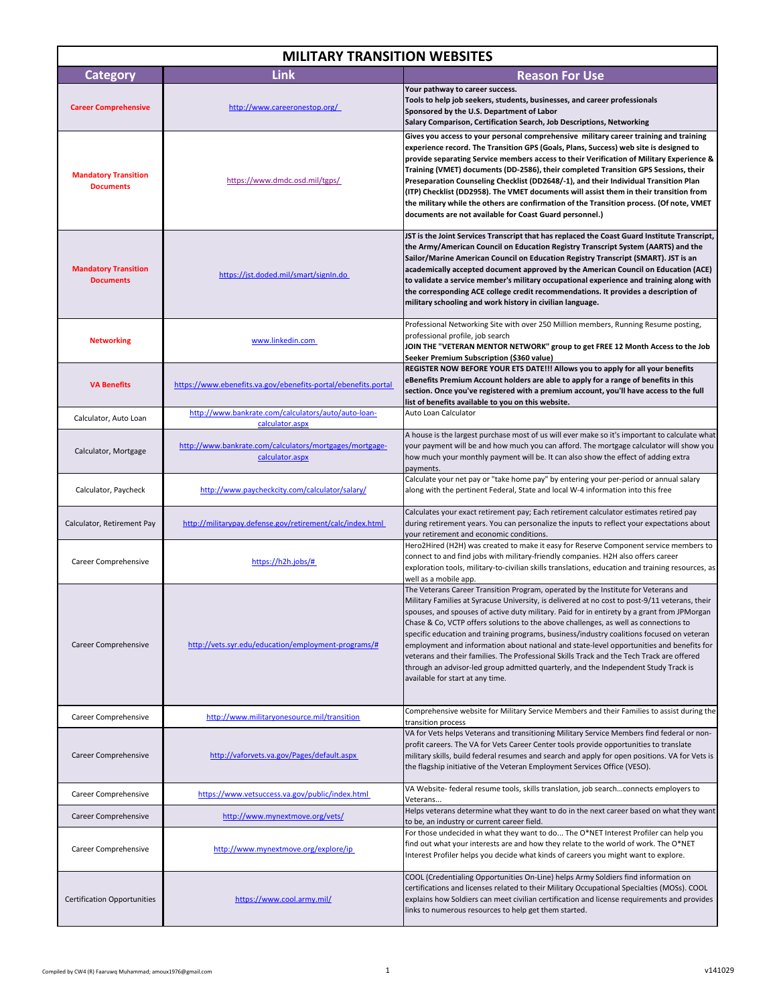| <b>MILITARY TRANSITION WEBSITES</b>             |                                                                            |                                                                                                                                                                                                                                                                                                                                                                                                                                                                                                                                                                                                                                                                                                                                                                                              |  |  |
|-------------------------------------------------|----------------------------------------------------------------------------|----------------------------------------------------------------------------------------------------------------------------------------------------------------------------------------------------------------------------------------------------------------------------------------------------------------------------------------------------------------------------------------------------------------------------------------------------------------------------------------------------------------------------------------------------------------------------------------------------------------------------------------------------------------------------------------------------------------------------------------------------------------------------------------------|--|--|
| <b>Category</b>                                 | <b>Link</b>                                                                | <b>Reason For Use</b>                                                                                                                                                                                                                                                                                                                                                                                                                                                                                                                                                                                                                                                                                                                                                                        |  |  |
| <b>Career Comprehensive</b>                     | http://www.careeronestop.org/                                              | Your pathway to career success.<br>Tools to help job seekers, students, businesses, and career professionals<br>Sponsored by the U.S. Department of Labor<br>Salary Comparison, Certification Search, Job Descriptions, Networking                                                                                                                                                                                                                                                                                                                                                                                                                                                                                                                                                           |  |  |
| <b>Mandatory Transition</b><br><b>Documents</b> | https://www.dmdc.osd.mil/tgps/                                             | Gives you access to your personal comprehensive military career training and training<br>experience record. The Transition GPS (Goals, Plans, Success) web site is designed to<br>provide separating Service members access to their Verification of Military Experience &<br>Training (VMET) documents (DD-2586), their completed Transition GPS Sessions, their<br>Preseparation Counseling Checklist (DD2648/-1), and their Individual Transition Plan<br>(ITP) Checklist (DD2958). The VMET documents will assist them in their transition from<br>the military while the others are confirmation of the Transition process. (Of note, VMET<br>documents are not available for Coast Guard personnel.)                                                                                   |  |  |
| <b>Mandatory Transition</b><br><b>Documents</b> | https://jst.doded.mil/smart/signIn.do                                      | JST is the Joint Services Transcript that has replaced the Coast Guard Institute Transcript,<br>the Army/American Council on Education Registry Transcript System (AARTS) and the<br>Sailor/Marine American Council on Education Registry Transcript (SMART). JST is an<br>academically accepted document approved by the American Council on Education (ACE)<br>to validate a service member's military occupational experience and training along with<br>the corresponding ACE college credit recommendations. It provides a description of<br>military schooling and work history in civilian language.                                                                                                                                                                                  |  |  |
| <b>Networking</b>                               | www.linkedin.com                                                           | Professional Networking Site with over 250 Million members, Running Resume posting,<br>professional profile, job search<br>JOIN THE "VETERAN MENTOR NETWORK" group to get FREE 12 Month Access to the Job<br>Seeker Premium Subscription (\$360 value)                                                                                                                                                                                                                                                                                                                                                                                                                                                                                                                                       |  |  |
| <b>VA Benefits</b>                              | https://www.ebenefits.va.gov/ebenefits-portal/ebenefits.portal             | REGISTER NOW BEFORE YOUR ETS DATE!!! Allows you to apply for all your benefits<br>eBenefits Premium Account holders are able to apply for a range of benefits in this<br>section. Once you've registered with a premium account, you'll have access to the full<br>list of benefits available to you on this website.                                                                                                                                                                                                                                                                                                                                                                                                                                                                        |  |  |
| Calculator, Auto Loan                           | http://www.bankrate.com/calculators/auto/auto-loan-<br>calculator.aspx     | Auto Loan Calculator                                                                                                                                                                                                                                                                                                                                                                                                                                                                                                                                                                                                                                                                                                                                                                         |  |  |
| Calculator, Mortgage                            | http://www.bankrate.com/calculators/mortgages/mortgage-<br>calculator.aspx | A house is the largest purchase most of us will ever make so it's important to calculate what<br>your payment will be and how much you can afford. The mortgage calculator will show you<br>how much your monthly payment will be. It can also show the effect of adding extra<br>payments.                                                                                                                                                                                                                                                                                                                                                                                                                                                                                                  |  |  |
| Calculator, Paycheck                            | http://www.paycheckcity.com/calculator/salary/                             | Calculate your net pay or "take home pay" by entering your per-period or annual salary<br>along with the pertinent Federal, State and local W-4 information into this free                                                                                                                                                                                                                                                                                                                                                                                                                                                                                                                                                                                                                   |  |  |
| Calculator, Retirement Pay                      | http://militarypay.defense.gov/retirement/calc/index.html                  | Calculates your exact retirement pay; Each retirement calculator estimates retired pay<br>during retirement years. You can personalize the inputs to reflect your expectations about<br>your retirement and economic conditions.                                                                                                                                                                                                                                                                                                                                                                                                                                                                                                                                                             |  |  |
| Career Comprehensive                            | https://h2h.jobs/#                                                         | Hero2Hired (H2H) was created to make it easy for Reserve Component service members to<br>connect to and find jobs with military-friendly companies. H2H also offers career<br>exploration tools, military-to-civilian skills translations, education and training resources, as<br>well as a mobile app.                                                                                                                                                                                                                                                                                                                                                                                                                                                                                     |  |  |
| Career Comprehensive                            | http://vets.syr.edu/education/employment-programs/#                        | The Veterans Career Transition Program, operated by the Institute for Veterans and<br>Military Families at Syracuse University, is delivered at no cost to post-9/11 veterans, their<br>spouses, and spouses of active duty military. Paid for in entirety by a grant from JPMorgan<br>Chase & Co, VCTP offers solutions to the above challenges, as well as connections to<br>specific education and training programs, business/industry coalitions focused on veteran<br>employment and information about national and state-level opportunities and benefits for<br>veterans and their families. The Professional Skills Track and the Tech Track are offered<br>through an advisor-led group admitted quarterly, and the Independent Study Track is<br>available for start at any time. |  |  |
| Career Comprehensive                            | http://www.militaryonesource.mil/transition                                | Comprehensive website for Military Service Members and their Families to assist during the<br>transition process                                                                                                                                                                                                                                                                                                                                                                                                                                                                                                                                                                                                                                                                             |  |  |
| Career Comprehensive                            | http://vaforvets.va.gov/Pages/default.aspx                                 | VA for Vets helps Veterans and transitioning Military Service Members find federal or non-<br>profit careers. The VA for Vets Career Center tools provide opportunities to translate<br>military skills, build federal resumes and search and apply for open positions. VA for Vets is<br>the flagship initiative of the Veteran Employment Services Office (VESO).                                                                                                                                                                                                                                                                                                                                                                                                                          |  |  |
| Career Comprehensive                            | https://www.vetsuccess.va.gov/public/index.html                            | VA Website- federal resume tools, skills translation, job searchconnects employers to<br>Veterans                                                                                                                                                                                                                                                                                                                                                                                                                                                                                                                                                                                                                                                                                            |  |  |
| Career Comprehensive                            | http://www.mynextmove.org/vets/                                            | Helps veterans determine what they want to do in the next career based on what they want<br>to be, an industry or current career field.                                                                                                                                                                                                                                                                                                                                                                                                                                                                                                                                                                                                                                                      |  |  |
| Career Comprehensive                            | http://www.mynextmove.org/explore/ip                                       | For those undecided in what they want to do The O*NET Interest Profiler can help you<br>find out what your interests are and how they relate to the world of work. The O*NET<br>Interest Profiler helps you decide what kinds of careers you might want to explore.                                                                                                                                                                                                                                                                                                                                                                                                                                                                                                                          |  |  |
| <b>Certification Opportunities</b>              | https://www.cool.army.mil/                                                 | COOL (Credentialing Opportunities On-Line) helps Army Soldiers find information on<br>certifications and licenses related to their Military Occupational Specialties (MOSs). COOL<br>explains how Soldiers can meet civilian certification and license requirements and provides<br>links to numerous resources to help get them started.                                                                                                                                                                                                                                                                                                                                                                                                                                                    |  |  |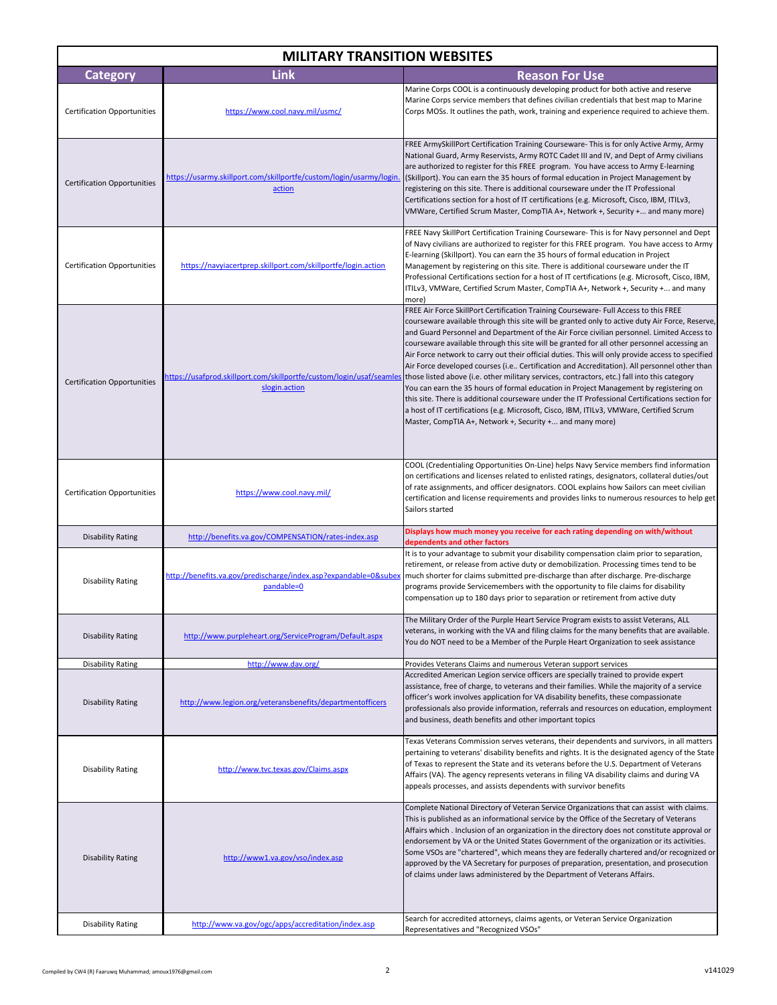| <b>MILITARY TRANSITION WEBSITES</b> |                                                                                |                                                                                                                                                                                                                                                                                                                                                                                                                                                                                                                                                                                                                                                                                                                                                                                                                                                                                                                                                                                                                                                                                                               |  |  |
|-------------------------------------|--------------------------------------------------------------------------------|---------------------------------------------------------------------------------------------------------------------------------------------------------------------------------------------------------------------------------------------------------------------------------------------------------------------------------------------------------------------------------------------------------------------------------------------------------------------------------------------------------------------------------------------------------------------------------------------------------------------------------------------------------------------------------------------------------------------------------------------------------------------------------------------------------------------------------------------------------------------------------------------------------------------------------------------------------------------------------------------------------------------------------------------------------------------------------------------------------------|--|--|
| <b>Category</b>                     | <b>Link</b>                                                                    | <b>Reason For Use</b>                                                                                                                                                                                                                                                                                                                                                                                                                                                                                                                                                                                                                                                                                                                                                                                                                                                                                                                                                                                                                                                                                         |  |  |
| <b>Certification Opportunities</b>  | https://www.cool.navy.mil/usmc/                                                | Marine Corps COOL is a continuously developing product for both active and reserve<br>Marine Corps service members that defines civilian credentials that best map to Marine<br>Corps MOSs. It outlines the path, work, training and experience required to achieve them.                                                                                                                                                                                                                                                                                                                                                                                                                                                                                                                                                                                                                                                                                                                                                                                                                                     |  |  |
| <b>Certification Opportunities</b>  | https://usarmy.skillport.com/skillportfe/custom/login/usarmy/login.<br>action  | FREE ArmySkillPort Certification Training Courseware- This is for only Active Army, Army<br>National Guard, Army Reservists, Army ROTC Cadet III and IV, and Dept of Army civilians<br>are authorized to register for this FREE program. You have access to Army E-learning<br>(Skillport). You can earn the 35 hours of formal education in Project Management by<br>registering on this site. There is additional courseware under the IT Professional<br>Certifications section for a host of IT certifications (e.g. Microsoft, Cisco, IBM, ITILv3,<br>VMWare, Certified Scrum Master, CompTIA A+, Network +, Security + and many more)                                                                                                                                                                                                                                                                                                                                                                                                                                                                   |  |  |
| <b>Certification Opportunities</b>  | https://navyiacertprep.skillport.com/skillportfe/login.action                  | FREE Navy SkillPort Certification Training Courseware- This is for Navy personnel and Dept<br>of Navy civilians are authorized to register for this FREE program. You have access to Army<br>E-learning (Skillport). You can earn the 35 hours of formal education in Project<br>Management by registering on this site. There is additional courseware under the IT<br>Professional Certifications section for a host of IT certifications (e.g. Microsoft, Cisco, IBM,<br>ITILv3, VMWare, Certified Scrum Master, CompTIA A+, Network +, Security + and many<br>more)                                                                                                                                                                                                                                                                                                                                                                                                                                                                                                                                       |  |  |
| <b>Certification Opportunities</b>  | slogin.action                                                                  | FREE Air Force SkillPort Certification Training Courseware- Full Access to this FREE<br>courseware available through this site will be granted only to active duty Air Force, Reserve,<br>and Guard Personnel and Department of the Air Force civilian personnel. Limited Access to<br>courseware available through this site will be granted for all other personnel accessing an<br>Air Force network to carry out their official duties. This will only provide access to specified<br>Air Force developed courses (i.e Certification and Accreditation). All personnel other than<br>https://usafprod.skillport.com/skillportfe/custom/login/usaf/seamles those listed above (i.e. other military services, contractors, etc.) fall into this category<br>You can earn the 35 hours of formal education in Project Management by registering on<br>this site. There is additional courseware under the IT Professional Certifications section for<br>a host of IT certifications (e.g. Microsoft, Cisco, IBM, ITILv3, VMWare, Certified Scrum<br>Master, CompTIA A+, Network +, Security + and many more) |  |  |
| <b>Certification Opportunities</b>  | https://www.cool.navy.mil/                                                     | COOL (Credentialing Opportunities On-Line) helps Navy Service members find information<br>on certifications and licenses related to enlisted ratings, designators, collateral duties/out<br>of rate assignments, and officer designators. COOL explains how Sailors can meet civilian<br>certification and license requirements and provides links to numerous resources to help get<br>Sailors started                                                                                                                                                                                                                                                                                                                                                                                                                                                                                                                                                                                                                                                                                                       |  |  |
| <b>Disability Rating</b>            | http://benefits.va.gov/COMPENSATION/rates-index.asp                            | Displays how much money you receive for each rating depending on with/without<br>dependents and other factors                                                                                                                                                                                                                                                                                                                                                                                                                                                                                                                                                                                                                                                                                                                                                                                                                                                                                                                                                                                                 |  |  |
| <b>Disability Rating</b>            | http://benefits.va.gov/predischarge/index.asp?expandable=0&subex<br>pandable=0 | It is to your advantage to submit your disability compensation claim prior to separation,<br>retirement, or release from active duty or demobilization. Processing times tend to be<br>much shorter for claims submitted pre-discharge than after discharge. Pre-discharge<br>programs provide Servicemembers with the opportunity to file claims for disability<br>compensation up to 180 days prior to separation or retirement from active duty                                                                                                                                                                                                                                                                                                                                                                                                                                                                                                                                                                                                                                                            |  |  |
| <b>Disability Rating</b>            | http://www.purpleheart.org/ServiceProgram/Default.aspx                         | The Military Order of the Purple Heart Service Program exists to assist Veterans, ALL<br>veterans, in working with the VA and filing claims for the many benefits that are available.<br>You do NOT need to be a Member of the Purple Heart Organization to seek assistance                                                                                                                                                                                                                                                                                                                                                                                                                                                                                                                                                                                                                                                                                                                                                                                                                                   |  |  |
| <b>Disability Rating</b>            | http://www.dav.org/                                                            | Provides Veterans Claims and numerous Veteran support services                                                                                                                                                                                                                                                                                                                                                                                                                                                                                                                                                                                                                                                                                                                                                                                                                                                                                                                                                                                                                                                |  |  |
| <b>Disability Rating</b>            | http://www.legion.org/veteransbenefits/departmentofficers                      | Accredited American Legion service officers are specially trained to provide expert<br>assistance, free of charge, to veterans and their families. While the majority of a service<br>officer's work involves application for VA disability benefits, these compassionate<br>professionals also provide information, referrals and resources on education, employment<br>and business, death benefits and other important topics                                                                                                                                                                                                                                                                                                                                                                                                                                                                                                                                                                                                                                                                              |  |  |
| <b>Disability Rating</b>            | http://www.tvc.texas.gov/Claims.aspx                                           | Texas Veterans Commission serves veterans, their dependents and survivors, in all matters<br>pertaining to veterans' disability benefits and rights. It is the designated agency of the State<br>of Texas to represent the State and its veterans before the U.S. Department of Veterans<br>Affairs (VA). The agency represents veterans in filing VA disability claims and during VA<br>appeals processes, and assists dependents with survivor benefits                                                                                                                                                                                                                                                                                                                                                                                                                                                                                                                                                                                                                                                     |  |  |
| <b>Disability Rating</b>            | http://www1.va.gov/vso/index.asp                                               | Complete National Directory of Veteran Service Organizations that can assist with claims.<br>This is published as an informational service by the Office of the Secretary of Veterans<br>Affairs which . Inclusion of an organization in the directory does not constitute approval or<br>endorsement by VA or the United States Government of the organization or its activities.<br>Some VSOs are "chartered", which means they are federally chartered and/or recognized or<br>approved by the VA Secretary for purposes of preparation, presentation, and prosecution<br>of claims under laws administered by the Department of Veterans Affairs.                                                                                                                                                                                                                                                                                                                                                                                                                                                         |  |  |
| <b>Disability Rating</b>            | http://www.va.gov/ogc/apps/accreditation/index.asp                             | Search for accredited attorneys, claims agents, or Veteran Service Organization<br>Representatives and "Recognized VSOs"                                                                                                                                                                                                                                                                                                                                                                                                                                                                                                                                                                                                                                                                                                                                                                                                                                                                                                                                                                                      |  |  |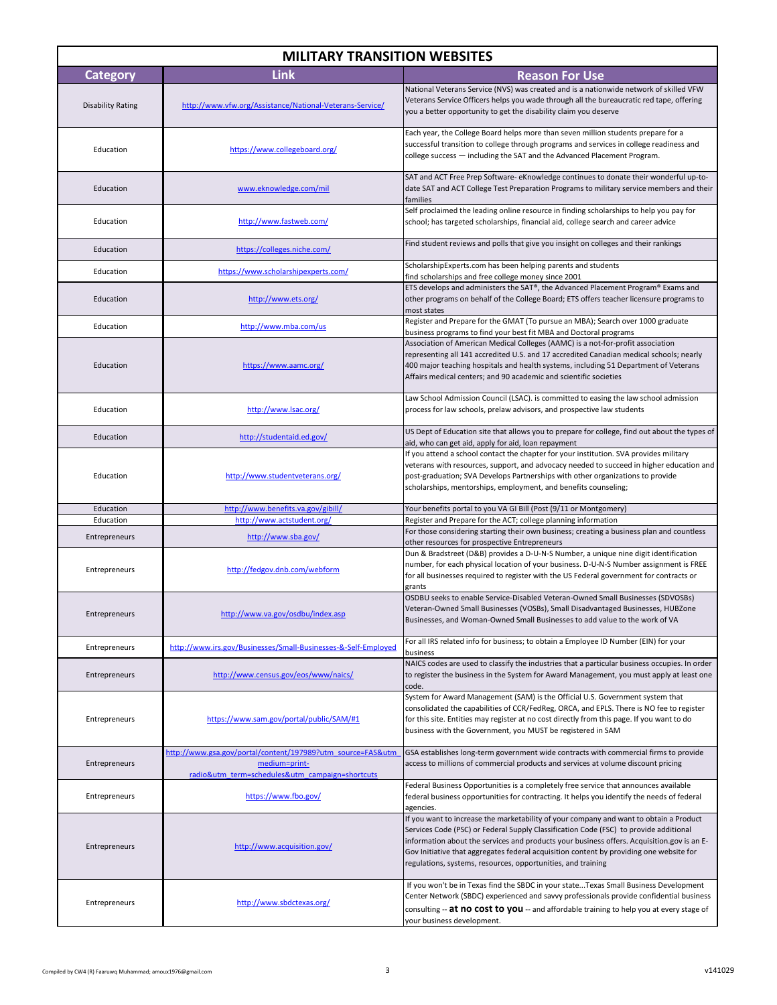| <b>MILITARY TRANSITION WEBSITES</b> |                                                                                                                                 |                                                                                                                                                                                                                                                                                                                                                                                                                                          |  |
|-------------------------------------|---------------------------------------------------------------------------------------------------------------------------------|------------------------------------------------------------------------------------------------------------------------------------------------------------------------------------------------------------------------------------------------------------------------------------------------------------------------------------------------------------------------------------------------------------------------------------------|--|
| <b>Category</b>                     | Link                                                                                                                            | <b>Reason For Use</b>                                                                                                                                                                                                                                                                                                                                                                                                                    |  |
| <b>Disability Rating</b>            | http://www.vfw.org/Assistance/National-Veterans-Service/                                                                        | National Veterans Service (NVS) was created and is a nationwide network of skilled VFW<br>Veterans Service Officers helps you wade through all the bureaucratic red tape, offering<br>you a better opportunity to get the disability claim you deserve                                                                                                                                                                                   |  |
| Education                           | https://www.collegeboard.org/                                                                                                   | Each year, the College Board helps more than seven million students prepare for a<br>successful transition to college through programs and services in college readiness and<br>college success - including the SAT and the Advanced Placement Program.                                                                                                                                                                                  |  |
| Education                           | www.eknowledge.com/mil                                                                                                          | SAT and ACT Free Prep Software-eKnowledge continues to donate their wonderful up-to-<br>date SAT and ACT College Test Preparation Programs to military service members and their<br>families                                                                                                                                                                                                                                             |  |
| Education                           | http://www.fastweb.com/                                                                                                         | Self proclaimed the leading online resource in finding scholarships to help you pay for<br>school; has targeted scholarships, financial aid, college search and career advice                                                                                                                                                                                                                                                            |  |
| Education                           | https://colleges.niche.com/                                                                                                     | Find student reviews and polls that give you insight on colleges and their rankings                                                                                                                                                                                                                                                                                                                                                      |  |
| Education                           | https://www.scholarshipexperts.com/                                                                                             | ScholarshipExperts.com has been helping parents and students<br>find scholarships and free college money since 2001                                                                                                                                                                                                                                                                                                                      |  |
| Education                           | http://www.ets.org/                                                                                                             | ETS develops and administers the SAT®, the Advanced Placement Program® Exams and<br>other programs on behalf of the College Board; ETS offers teacher licensure programs to<br>most states                                                                                                                                                                                                                                               |  |
| Education                           | http://www.mba.com/us                                                                                                           | Register and Prepare for the GMAT (To pursue an MBA); Search over 1000 graduate<br>business programs to find your best fit MBA and Doctoral programs                                                                                                                                                                                                                                                                                     |  |
| Education                           | https://www.aamc.org/                                                                                                           | Association of American Medical Colleges (AAMC) is a not-for-profit association<br>representing all 141 accredited U.S. and 17 accredited Canadian medical schools; nearly<br>400 major teaching hospitals and health systems, including 51 Department of Veterans<br>Affairs medical centers; and 90 academic and scientific societies                                                                                                  |  |
| Education                           | http://www.lsac.org/                                                                                                            | Law School Admission Council (LSAC). is committed to easing the law school admission<br>process for law schools, prelaw advisors, and prospective law students                                                                                                                                                                                                                                                                           |  |
| Education                           | http://studentaid.ed.gov/                                                                                                       | US Dept of Education site that allows you to prepare for college, find out about the types of<br>aid, who can get aid, apply for aid, loan repayment                                                                                                                                                                                                                                                                                     |  |
| Education                           | http://www.studentveterans.org/                                                                                                 | If you attend a school contact the chapter for your institution. SVA provides military<br>veterans with resources, support, and advocacy needed to succeed in higher education and<br>post-graduation; SVA Develops Partnerships with other organizations to provide<br>scholarships, mentorships, employment, and benefits counseling;                                                                                                  |  |
| Education                           | http://www.benefits.va.gov/gibill/                                                                                              | Your benefits portal to you VA GI Bill (Post (9/11 or Montgomery)                                                                                                                                                                                                                                                                                                                                                                        |  |
| Education<br>Entrepreneurs          | http://www.actstudent.org/<br>http://www.sba.gov/                                                                               | Register and Prepare for the ACT; college planning information<br>For those considering starting their own business; creating a business plan and countless                                                                                                                                                                                                                                                                              |  |
| Entrepreneurs                       | http://fedgov.dnb.com/webform                                                                                                   | other resources for prospective Entrepreneurs<br>Dun & Bradstreet (D&B) provides a D-U-N-S Number, a unique nine digit identification<br>number, for each physical location of your business. D-U-N-S Number assignment is FREE<br>for all businesses required to register with the US Federal government for contracts or<br>grants                                                                                                     |  |
| Entrepreneurs                       | http://www.va.gov/osdbu/index.asp                                                                                               | OSDBU seeks to enable Service-Disabled Veteran-Owned Small Businesses (SDVOSBs)<br>Veteran-Owned Small Businesses (VOSBs), Small Disadvantaged Businesses, HUBZone<br>Businesses, and Woman-Owned Small Businesses to add value to the work of VA                                                                                                                                                                                        |  |
| Entrepreneurs                       | http://www.irs.gov/Businesses/Small-Businesses-&-Self-Employed                                                                  | For all IRS related info for business; to obtain a Employee ID Number (EIN) for your<br>business                                                                                                                                                                                                                                                                                                                                         |  |
| Entrepreneurs                       | http://www.census.gov/eos/www/naics/                                                                                            | NAICS codes are used to classify the industries that a particular business occupies. In order<br>to register the business in the System for Award Management, you must apply at least one<br>code.                                                                                                                                                                                                                                       |  |
| Entrepreneurs                       | https://www.sam.gov/portal/public/SAM/#1                                                                                        | System for Award Management (SAM) is the Official U.S. Government system that<br>consolidated the capabilities of CCR/FedReg, ORCA, and EPLS. There is NO fee to register<br>for this site. Entities may register at no cost directly from this page. If you want to do<br>business with the Government, you MUST be registered in SAM                                                                                                   |  |
| Entrepreneurs                       | http://www.gsa.gov/portal/content/197989?utm_source=FAS&utm<br>medium=print-<br>radio&utm_term=schedules&utm_campaign=shortcuts | GSA establishes long-term government wide contracts with commercial firms to provide<br>access to millions of commercial products and services at volume discount pricing                                                                                                                                                                                                                                                                |  |
| Entrepreneurs                       | https://www.fbo.gov/                                                                                                            | Federal Business Opportunities is a completely free service that announces available<br>federal business opportunities for contracting. It helps you identify the needs of federal<br>agencies.                                                                                                                                                                                                                                          |  |
| Entrepreneurs                       | http://www.acquisition.gov/                                                                                                     | If you want to increase the marketability of your company and want to obtain a Product<br>Services Code (PSC) or Federal Supply Classification Code (FSC) to provide additional<br>information about the services and products your business offers. Acquisition.gov is an E-<br>Gov Initiative that aggregates federal acquisition content by providing one website for<br>regulations, systems, resources, opportunities, and training |  |
| Entrepreneurs                       | http://www.sbdctexas.org/                                                                                                       | If you won't be in Texas find the SBDC in your stateTexas Small Business Development<br>Center Network (SBDC) experienced and savvy professionals provide confidential business<br>consulting $-$ at no cost to you $-$ and affordable training to help you at every stage of<br>your business development.                                                                                                                              |  |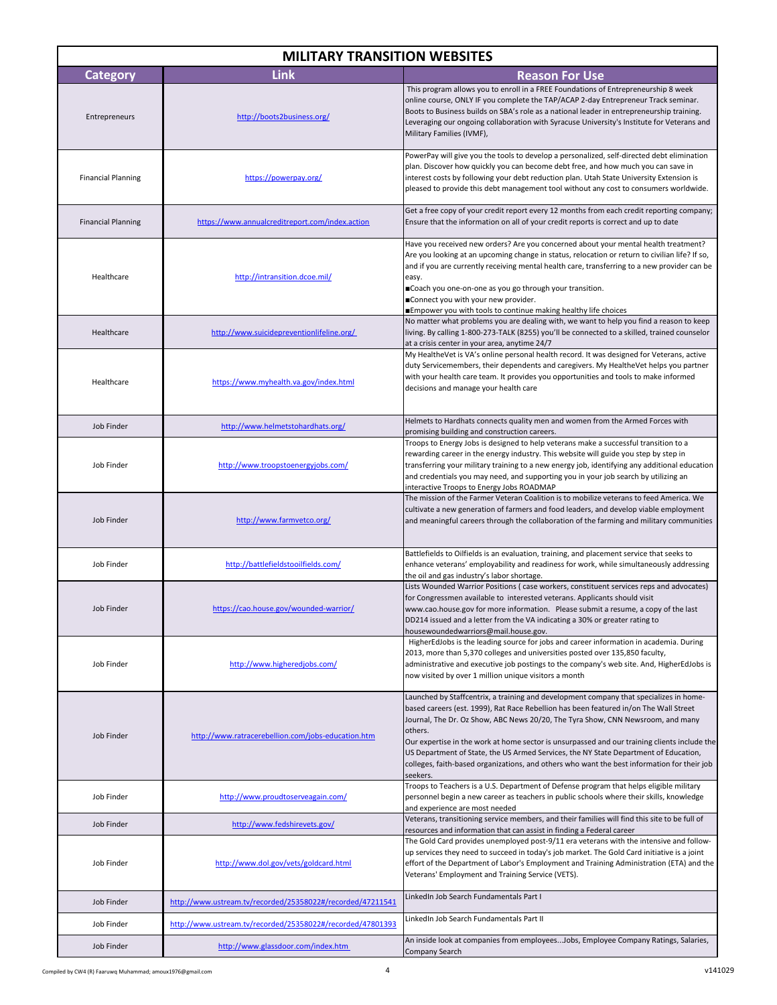| <b>MILITARY TRANSITION WEBSITES</b> |                                                            |                                                                                                                                                                                                                                                                                                                                                                                                                                                                                                                                                                                  |  |  |
|-------------------------------------|------------------------------------------------------------|----------------------------------------------------------------------------------------------------------------------------------------------------------------------------------------------------------------------------------------------------------------------------------------------------------------------------------------------------------------------------------------------------------------------------------------------------------------------------------------------------------------------------------------------------------------------------------|--|--|
| <b>Category</b>                     | Link                                                       | <b>Reason For Use</b>                                                                                                                                                                                                                                                                                                                                                                                                                                                                                                                                                            |  |  |
| Entrepreneurs                       | http://boots2business.org/                                 | This program allows you to enroll in a FREE Foundations of Entrepreneurship 8 week<br>online course, ONLY IF you complete the TAP/ACAP 2-day Entrepreneur Track seminar.<br>Boots to Business builds on SBA's role as a national leader in entrepreneurship training.<br>Leveraging our ongoing collaboration with Syracuse University's Institute for Veterans and<br>Military Families (IVMF),                                                                                                                                                                                 |  |  |
| <b>Financial Planning</b>           | https://powerpay.org/                                      | PowerPay will give you the tools to develop a personalized, self-directed debt elimination<br>plan. Discover how quickly you can become debt free, and how much you can save in<br>interest costs by following your debt reduction plan. Utah State University Extension is<br>pleased to provide this debt management tool without any cost to consumers worldwide.                                                                                                                                                                                                             |  |  |
| <b>Financial Planning</b>           | https://www.annualcreditreport.com/index.action            | Get a free copy of your credit report every 12 months from each credit reporting company;<br>Ensure that the information on all of your credit reports is correct and up to date                                                                                                                                                                                                                                                                                                                                                                                                 |  |  |
| Healthcare                          | http://intransition.dcoe.mil/                              | Have you received new orders? Are you concerned about your mental health treatment?<br>Are you looking at an upcoming change in status, relocation or return to civilian life? If so,<br>and if you are currently receiving mental health care, transferring to a new provider can be<br>easy.<br>■Coach you one-on-one as you go through your transition.<br>■Connect you with your new provider.<br>■Empower you with tools to continue making healthy life choices                                                                                                            |  |  |
| Healthcare                          | http://www.suicidepreventionlifeline.org/                  | No matter what problems you are dealing with, we want to help you find a reason to keep<br>living. By calling 1-800-273-TALK (8255) you'll be connected to a skilled, trained counselor<br>at a crisis center in your area, anytime 24/7                                                                                                                                                                                                                                                                                                                                         |  |  |
| Healthcare                          | https://www.myhealth.va.gov/index.html                     | My HealtheVet is VA's online personal health record. It was designed for Veterans, active<br>duty Servicemembers, their dependents and caregivers. My HealtheVet helps you partner<br>with your health care team. It provides you opportunities and tools to make informed<br>decisions and manage your health care                                                                                                                                                                                                                                                              |  |  |
| Job Finder                          | http://www.helmetstohardhats.org/                          | Helmets to Hardhats connects quality men and women from the Armed Forces with<br>promising building and construction careers.                                                                                                                                                                                                                                                                                                                                                                                                                                                    |  |  |
| Job Finder                          | http://www.troopstoenergyjobs.com/                         | Troops to Energy Jobs is designed to help veterans make a successful transition to a<br>rewarding career in the energy industry. This website will guide you step by step in<br>transferring your military training to a new energy job, identifying any additional education<br>and credentials you may need, and supporting you in your job search by utilizing an<br>interactive Troops to Energy Jobs ROADMAP                                                                                                                                                                |  |  |
| Job Finder                          | http://www.farmvetco.org/                                  | The mission of the Farmer Veteran Coalition is to mobilize veterans to feed America. We<br>cultivate a new generation of farmers and food leaders, and develop viable employment<br>and meaningful careers through the collaboration of the farming and military communities                                                                                                                                                                                                                                                                                                     |  |  |
| Job Finder                          | http://battlefieldstooilfields.com/                        | Battlefields to Oilfields is an evaluation, training, and placement service that seeks to<br>enhance veterans' employability and readiness for work, while simultaneously addressing<br>the oil and gas industry's labor shortage.                                                                                                                                                                                                                                                                                                                                               |  |  |
| Job Finder                          | https://cao.house.gov/wounded-warrior/                     | Lists Wounded Warrior Positions (case workers, constituent services reps and advocates)<br>for Congressmen available to interested veterans. Applicants should visit<br>www.cao.house.gov for more information. Please submit a resume, a copy of the last<br>DD214 issued and a letter from the VA indicating a 30% or greater rating to<br>housewoundedwarriors@mail.house.gov.                                                                                                                                                                                                |  |  |
| Job Finder                          | http://www.higheredjobs.com/                               | HigherEdJobs is the leading source for jobs and career information in academia. During<br>2013, more than 5,370 colleges and universities posted over 135,850 faculty,<br>administrative and executive job postings to the company's web site. And, HigherEdJobs is<br>now visited by over 1 million unique visitors a month                                                                                                                                                                                                                                                     |  |  |
| Job Finder                          | http://www.ratracerebellion.com/jobs-education.htm         | Launched by Staffcentrix, a training and development company that specializes in home-<br>based careers (est. 1999), Rat Race Rebellion has been featured in/on The Wall Street<br>Journal, The Dr. Oz Show, ABC News 20/20, The Tyra Show, CNN Newsroom, and many<br>others.<br>Our expertise in the work at home sector is unsurpassed and our training clients include the<br>US Department of State, the US Armed Services, the NY State Department of Education,<br>colleges, faith-based organizations, and others who want the best information for their job<br>seekers. |  |  |
| Job Finder                          | http://www.proudtoserveagain.com/                          | Troops to Teachers is a U.S. Department of Defense program that helps eligible military<br>personnel begin a new career as teachers in public schools where their skills, knowledge<br>and experience are most needed                                                                                                                                                                                                                                                                                                                                                            |  |  |
| Job Finder                          | http://www.fedshirevets.gov/                               | Veterans, transitioning service members, and their families will find this site to be full of<br>resources and information that can assist in finding a Federal career                                                                                                                                                                                                                                                                                                                                                                                                           |  |  |
| Job Finder                          | http://www.dol.gov/vets/goldcard.html                      | The Gold Card provides unemployed post-9/11 era veterans with the intensive and follow-<br>up services they need to succeed in today's job market. The Gold Card initiative is a joint<br>effort of the Department of Labor's Employment and Training Administration (ETA) and the<br>Veterans' Employment and Training Service (VETS).                                                                                                                                                                                                                                          |  |  |
| Job Finder                          | http://www.ustream.tv/recorded/25358022#/recorded/47211541 | LinkedIn Job Search Fundamentals Part I                                                                                                                                                                                                                                                                                                                                                                                                                                                                                                                                          |  |  |
| Job Finder                          | http://www.ustream.tv/recorded/25358022#/recorded/47801393 | LinkedIn Job Search Fundamentals Part II                                                                                                                                                                                                                                                                                                                                                                                                                                                                                                                                         |  |  |
| Job Finder                          | http://www.glassdoor.com/index.htm                         | An inside look at companies from employeesJobs, Employee Company Ratings, Salaries,<br>Company Search                                                                                                                                                                                                                                                                                                                                                                                                                                                                            |  |  |